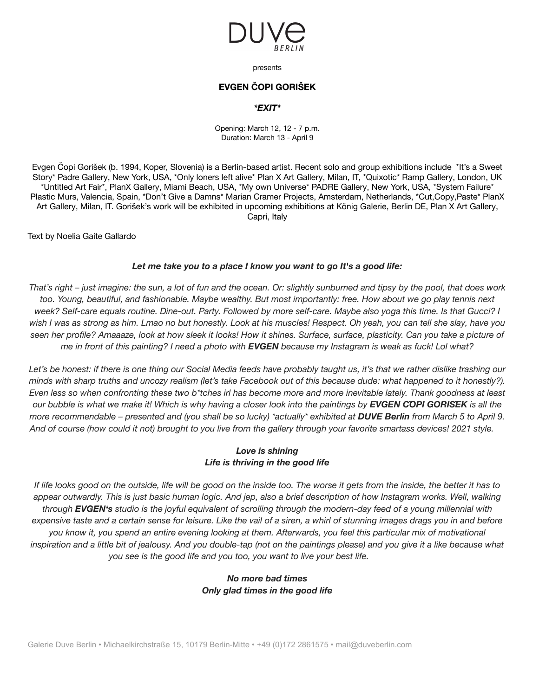

presents

# **EVGEN ČOPI GORIŠEK**

#### *\*EXIT\**

Opening: March 12, 12 - 7 p.m. Duration: March 13 - April 9

Evgen Čopi Gorišek (b. 1994, Koper, Slovenia) is a Berlin-based artist. Recent solo and group exhibitions include \*It's a Sweet Story\* Padre Gallery, New York, USA, \*Only loners left alive\* Plan X Art Gallery, Milan, IT, \*Quixotic\* Ramp Gallery, London, UK \*Untitled Art Fair\*, PlanX Gallery, Miami Beach, USA, \*My own Universe\* PADRE Gallery, New York, USA, \*System Failure\* Plastic Murs, Valencia, Spain, \*Don't Give a Damns\* Marian Cramer Projects, Amsterdam, Netherlands, \*Cut,Copy,Paste\* PlanX Art Gallery, Milan, IT. Gorišek's work will be exhibited in upcoming exhibitions at König Galerie, Berlin DE, Plan X Art Gallery, Capri, Italy

Text by Noelia Gaite Gallardo

#### *Let me take you to a place I know you want to go It's a good life:*

That's right – just imagine: the sun, a lot of fun and the ocean. Or: slightly sunburned and tipsy by the pool, that does work too. Young, beautiful, and fashionable. Maybe wealthy. But most importantly: free. How about we go play tennis next week? Self-care equals routine. Dine-out. Party. Followed by more self-care. Maybe also yoga this time. Is that Gucci? I wish I was as strong as him. Lmao no but honestly. Look at his muscles! Respect. Oh yeah, you can tell she slay, have you seen her profile? Amaaaze, look at how sleek it looks! How it shines. Surface, surface, plasticity. Can you take a picture of me in front of this painting? I need a photo with **EVGEN** because my Instagram is weak as fuck! Lol what?

Let's be honest: if there is one thing our Social Media feeds have probably taught us, it's that we rather dislike trashing our minds with sharp truths and uncozy realism (let's take Facebook out of this because dude: what happened to it honestly?). Even less so when confronting these two b\*tches irl has become more and more inevitable lately. Thank goodness at least our bubble is what we make it! Which is why having a closer look into the paintings by EVGEN COPI GORISEK is all the more recommendable – presented and (you shall be so lucky) \*actually\* exhibited at **DUVE Berlin** from March 5 to April 9. And of course (how could it not) brought to you live from the gallery through your favorite smartass devices! 2021 style.

### *Love is shining Life is thriving in the good life*

If life looks good on the outside, life will be good on the inside too. The worse it gets from the inside, the better it has to appear outwardly. This is just basic human logic. And jep, also a brief description of how Instagram works. Well, walking through EVGEN's studio is the joyful equivalent of scrolling through the modern-day feed of a young millennial with expensive taste and a certain sense for leisure. Like the vail of a siren, a whirl of stunning images drags you in and before you know it, you spend an entire evening looking at them. Afterwards, you feel this particular mix of motivational inspiration and a little bit of jealousy. And you double-tap (not on the paintings please) and you give it a like because what *you see is the good life and you too, you want to live your best life.*

## *No more bad times Only glad times in the good life*